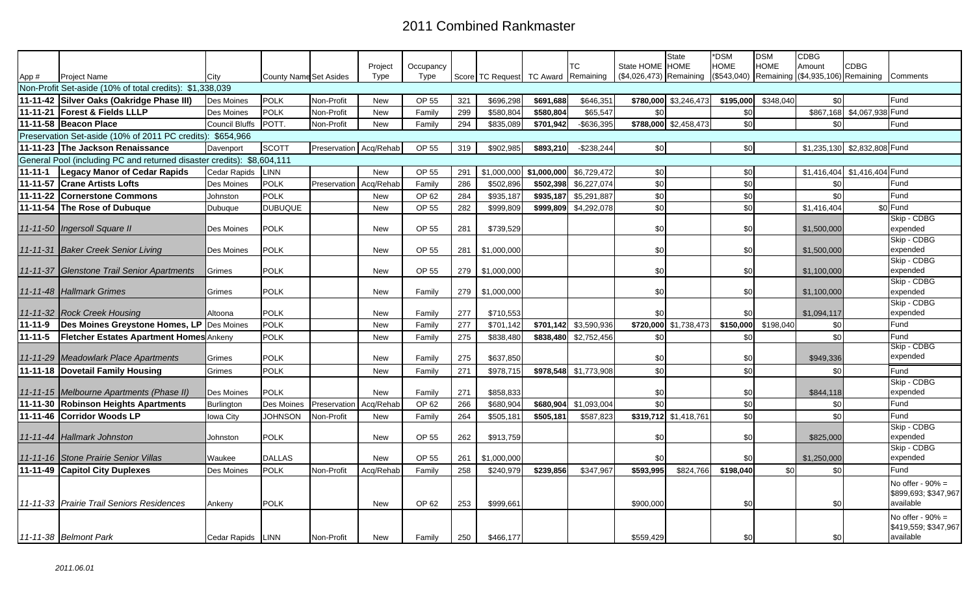## 2011 Combined Rankmaster

|                                                                        |                                                          |                       |                               |                        |                 |                   |     |                                     |           |                           |                                            | State                 | *DSM                       | <b>DSM</b>  | <b>CDBG</b>                                          |                  |                                             |
|------------------------------------------------------------------------|----------------------------------------------------------|-----------------------|-------------------------------|------------------------|-----------------|-------------------|-----|-------------------------------------|-----------|---------------------------|--------------------------------------------|-----------------------|----------------------------|-------------|------------------------------------------------------|------------------|---------------------------------------------|
| App #                                                                  | <b>Project Name</b>                                      | City                  | <b>County Name Set Asides</b> |                        | Project<br>Type | Occupancy<br>Type |     | Score TC Request TC Award Remaining |           | ТC                        | State HOME HOME<br>(\$4,026,473) Remaining |                       | <b>HOME</b><br>(\$543,040) | <b>HOME</b> | Amount<br>Remaining (\$4,935,106) Remaining Comments | CDBG             |                                             |
|                                                                        | Non-Profit Set-aside (10% of total credits): \$1,338,039 |                       |                               |                        |                 |                   |     |                                     |           |                           |                                            |                       |                            |             |                                                      |                  |                                             |
|                                                                        | 11-11-42 Silver Oaks (Oakridge Phase III)                | Des Moines            | <b>POLK</b>                   | Non-Profit             | New             | OP 55             | 321 | \$696,298                           | \$691,688 | \$646,351                 |                                            | \$780,000 \$3,246,473 | \$195,000                  | \$348,040   | \$0                                                  |                  | Fund                                        |
|                                                                        | 11-11-21 Forest & Fields LLLP                            | Des Moines            | <b>POLK</b>                   | Non-Profit             | New             | Family            | 299 | \$580,804                           | \$580,804 | \$65,547                  | \$0                                        |                       | \$0                        |             | \$867,168                                            | \$4,067,938 Fund |                                             |
|                                                                        | 11-11-58 Beacon Place                                    | <b>Council Bluffs</b> | POTT.                         | Non-Profit             | New             | Family            | 294 | \$835,089                           | \$701,942 | $-$ \$636,395             |                                            | \$788,000 \$2,458,473 | \$0                        |             | \$0                                                  |                  | Fund                                        |
| Preservation Set-aside (10% of 2011 PC credits): \$654,966             |                                                          |                       |                               |                        |                 |                   |     |                                     |           |                           |                                            |                       |                            |             |                                                      |                  |                                             |
|                                                                        | 11-11-23 The Jackson Renaissance                         | Davenport             | <b>SCOTT</b>                  | Preservation Acq/Rehab |                 | OP 55             | 319 | \$902,985                           | \$893,210 | $-$ \$238,244             | \$0                                        |                       | \$0                        |             | \$1,235,130                                          | \$2,832,808 Fund |                                             |
| General Pool (including PC and returned disaster credits): \$8,604,111 |                                                          |                       |                               |                        |                 |                   |     |                                     |           |                           |                                            |                       |                            |             |                                                      |                  |                                             |
| 11-11-1                                                                | Legacy Manor of Cedar Rapids                             | Cedar Rapids          | LINN                          |                        | New             | OP 55             | 291 | \$1,000,000                         |           | $$1,000,000$ $$6,729,472$ | \$0                                        |                       | \$0                        |             | \$1,416,404                                          | \$1,416,404 Fund |                                             |
|                                                                        | 11-11-57 Crane Artists Lofts                             | Des Moines            | <b>POLK</b>                   | Preservation           | Acq/Rehab       | Family            | 286 | \$502,896                           | \$502,398 | \$6,227,074               | \$0                                        |                       | \$0                        |             | \$0                                                  |                  | Fund                                        |
|                                                                        | 11-11-22 Cornerstone Commons                             | Johnston              | <b>POLK</b>                   |                        | New             | OP 62             | 284 | \$935,187                           | \$935,187 | \$5,291,887               | \$0                                        |                       | \$0                        |             | \$0                                                  |                  | Fund                                        |
|                                                                        | 11-11-54 The Rose of Dubuque                             | Dubuque               | <b>DUBUQUE</b>                |                        | <b>New</b>      | OP 55             | 282 | \$999,809                           |           | \$999,809 \$4,292,078     | \$0                                        |                       | \$0                        |             | \$1,416,404                                          |                  | $$0$ Fund                                   |
|                                                                        |                                                          |                       |                               |                        |                 |                   |     |                                     |           |                           |                                            |                       |                            |             |                                                      |                  | Skip - CDBG                                 |
|                                                                        | 11-11-50 Ingersoll Square II                             | Des Moines            | <b>POLK</b>                   |                        | New             | OP 55             | 281 | \$739,529                           |           |                           | \$0                                        |                       | \$0                        |             | \$1,500,000                                          |                  | expended<br>Skip - CDBG                     |
|                                                                        | 11-11-31 Baker Creek Senior Living                       | Des Moines            | POLK                          |                        | <b>New</b>      | OP 55             | 281 | \$1,000,000                         |           |                           | \$0                                        |                       | \$0                        |             | \$1,500,000                                          |                  | expended                                    |
|                                                                        |                                                          |                       |                               |                        |                 |                   |     |                                     |           |                           |                                            |                       |                            |             |                                                      |                  | Skip - CDBG                                 |
|                                                                        | 11-11-37 Glenstone Trail Senior Apartments               | Grimes                | <b>POLK</b>                   |                        | <b>New</b>      | OP 55             | 279 | \$1,000,000                         |           |                           | \$0                                        |                       | \$0                        |             | \$1,100,000                                          |                  | expended                                    |
|                                                                        |                                                          |                       |                               |                        |                 |                   |     |                                     |           |                           |                                            |                       |                            |             |                                                      |                  | Skip - CDBG                                 |
|                                                                        | 11-11-48 Hallmark Grimes                                 | Grimes                | POLK                          |                        | New             | Family            | 279 | \$1,000,000                         |           |                           | \$0                                        |                       | \$0                        |             | \$1,100,000                                          |                  | expended                                    |
|                                                                        | 11-11-32 Rock Creek Housing                              | Altoona               | POLK                          |                        | New             | Family            | 277 | \$710,553                           |           |                           | \$0                                        |                       | \$0                        |             | \$1,094,117                                          |                  | Skip - CDBG<br>expended                     |
| 11-11-9                                                                | Des Moines Greystone Homes, LP Des Moines                |                       | <b>POLK</b>                   |                        | New             | Family            | 277 | \$701,142                           |           | $$701,142$ $$3,590,936$   | \$720,000                                  | \$1,738,473           | \$150,000                  | \$198,040   | \$0                                                  |                  | Fund                                        |
| 11-11-5                                                                | <b>Fletcher Estates Apartment Homes Ankeny</b>           |                       | POLK                          |                        | New             | Family            | 275 | \$838,480                           |           | \$838,480 \$2,752,456     | \$0                                        |                       | \$0                        |             | \$0                                                  |                  | Fund                                        |
|                                                                        |                                                          |                       |                               |                        |                 |                   |     |                                     |           |                           |                                            |                       |                            |             |                                                      |                  | Skip - CDBG                                 |
|                                                                        | 11-11-29 Meadowlark Place Apartments                     | Grimes                | POLK                          |                        | New             | Family            | 275 | \$637,850                           |           |                           | \$0                                        |                       | \$0                        |             | \$949,336                                            |                  | expended                                    |
|                                                                        | 11-11-18 Dovetail Family Housing                         | Grimes                | <b>POLK</b>                   |                        | New             | Family            | 271 | \$978,715                           |           | \$978,548 \$1,773,908     | \$0                                        |                       | \$0                        |             | \$0                                                  |                  | Fund                                        |
|                                                                        |                                                          |                       |                               |                        |                 |                   |     |                                     |           |                           |                                            |                       |                            |             |                                                      |                  | Skip - CDBG                                 |
|                                                                        | 11-11-15 Melbourne Apartments (Phase II)                 | <b>Des Moines</b>     | POLK                          |                        | New             | Family            | 271 | \$858,833                           |           |                           | \$0                                        |                       | \$0                        |             | \$844,118                                            |                  | expended                                    |
|                                                                        | 11-11-30 Robinson Heights Apartments                     | <b>Burlington</b>     | Des Moines                    | Preservation           | Acq/Rehab       | OP 62             | 266 | \$680,904                           | \$680.904 | \$1,093,004               | \$0                                        |                       | \$0                        |             | \$0                                                  |                  | Fund                                        |
|                                                                        | 11-11-46 Corridor Woods LP                               | Iowa City             | <b>JOHNSON</b>                | Non-Profit             | <b>New</b>      | Family            | 264 | \$505,181                           | \$505,181 | \$587,823                 |                                            | \$319,712 \$1,418,761 | \$0                        |             | \$0                                                  |                  | Fund                                        |
|                                                                        | 11-11-44 Hallmark Johnston                               | Johnston              | <b>POLK</b>                   |                        | New             | OP 55             | 262 | \$913,759                           |           |                           | \$0                                        |                       | \$0                        |             | \$825,000                                            |                  | Skip - CDBG<br>expended                     |
|                                                                        |                                                          |                       |                               |                        |                 |                   |     |                                     |           |                           |                                            |                       |                            |             |                                                      |                  | Skip - CDBG                                 |
|                                                                        | 11-11-16 Stone Prairie Senior Villas                     | Waukee                | <b>DALLAS</b>                 |                        | New             | OP 55             | 261 | \$1,000,000                         |           |                           | \$0                                        |                       | \$0                        |             | \$1,250,000                                          |                  | expended                                    |
|                                                                        | 11-11-49 Capitol City Duplexes                           | Des Moines            | <b>POLK</b>                   | Non-Profit             | Acq/Rehab       | Family            | 258 | \$240,979                           | \$239,856 | \$347,967                 | \$593,995                                  | \$824,766             | \$198,040                  | \$0         | \$0                                                  |                  | Fund                                        |
|                                                                        |                                                          |                       |                               |                        |                 |                   |     |                                     |           |                           |                                            |                       |                            |             |                                                      |                  | No offer - $90\%$ =                         |
|                                                                        |                                                          |                       |                               |                        |                 |                   |     |                                     |           |                           |                                            |                       |                            |             |                                                      |                  | \$899,693; \$347,967                        |
|                                                                        | 11-11-33 Prairie Trail Seniors Residences                | Ankeny                | POLK                          |                        | New             | OP 62             | 253 | \$999,661                           |           |                           | \$900,000                                  |                       | \$0                        |             | \$0                                                  |                  | available                                   |
|                                                                        |                                                          |                       |                               |                        |                 |                   |     |                                     |           |                           |                                            |                       |                            |             |                                                      |                  | No offer - $90\%$ =<br>\$419,559, \$347,967 |
|                                                                        | 11-11-38 Belmont Park                                    | Cedar Rapids          | LINN                          | Non-Profit             | New             | Family            | 250 | \$466,177                           |           |                           | \$559,429                                  |                       | \$0                        |             | \$0                                                  |                  | available                                   |
|                                                                        |                                                          |                       |                               |                        |                 |                   |     |                                     |           |                           |                                            |                       |                            |             |                                                      |                  |                                             |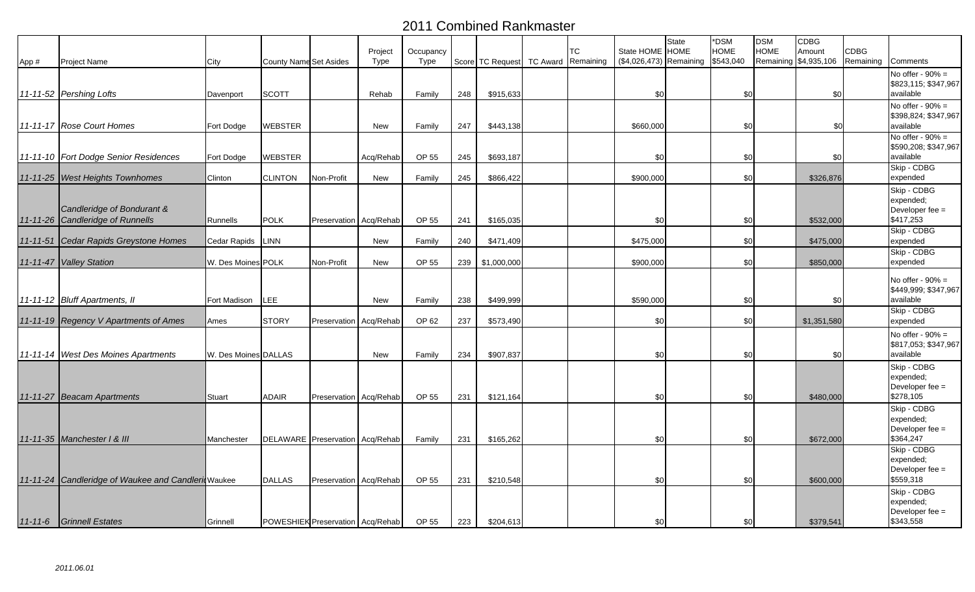## 2011 Combined Rankmaster

|       |                                                                |                      |                                    |                        |                 |                   |     |                                     |    | State HOME HOME         | <b>State</b> | *DSM<br><b>HOME</b> | <b>DSM</b><br><b>HOME</b> | <b>CDBG</b> | <b>CDBG</b>        |                                                                         |
|-------|----------------------------------------------------------------|----------------------|------------------------------------|------------------------|-----------------|-------------------|-----|-------------------------------------|----|-------------------------|--------------|---------------------|---------------------------|-------------|--------------------|-------------------------------------------------------------------------|
| App # | Project Name                                                   | City                 | <b>County Name Set Asides</b>      |                        | Project<br>Type | Occupancy<br>Type |     | Score TC Request TC Award Remaining | ТC | (\$4,026,473) Remaining |              | \$543,040           | Remaining \$4,935,106     | Amount      | Remaining Comments |                                                                         |
|       | 11-11-52 Pershing Lofts                                        | Davenport            | <b>SCOTT</b>                       |                        | Rehab           | Family            | 248 | \$915,633                           |    | \$0                     |              | \$0                 |                           | \$0         |                    | No offer - $90\%$ =<br>\$823,115; \$347,967<br>available                |
|       | 11-11-17 Rose Court Homes                                      | Fort Dodge           | <b>WEBSTER</b>                     |                        | <b>New</b>      | Family            | 247 | \$443,138                           |    | \$660,000               |              | \$0                 |                           | \$C         |                    | No offer - $90\%$ =<br>\$398,824; \$347,967<br>available                |
|       | 11-11-10 Fort Dodge Senior Residences                          | Fort Dodge           | WEBSTER                            |                        | Acq/Rehab       | OP 55             | 245 | \$693,187                           |    | \$C                     |              | \$0                 |                           | \$0         |                    | No offer - $90\%$ =<br>\$590,208; \$347,967<br>available                |
|       | 11-11-25 West Heights Townhomes                                | Clinton              | <b>CLINTON</b>                     | Non-Profit             | New             | Family            | 245 | \$866,422                           |    | \$900,000               |              | \$0                 |                           | \$326,876   |                    | Skip - CDBG<br>expended                                                 |
|       | Candleridge of Bondurant &<br>11-11-26 Candleridge of Runnells | Runnells             | <b>POLK</b>                        | Preservation Acq/Rehab |                 | OP 55             | 241 | \$165,035                           |    | \$C                     |              | \$0                 |                           | \$532,000   |                    | Skip - CDBG<br>expended;<br>Developer fee $=$<br>\$417,253              |
|       | 11-11-51 Cedar Rapids Greystone Homes                          | Cedar Rapids         | LINN                               |                        | New             | Family            | 240 | \$471,409                           |    | \$475,000               |              | \$0                 |                           | \$475,000   |                    | Skip - CDBG<br>expended                                                 |
|       | 11-11-47 Valley Station                                        | W. Des Moines POLK   |                                    | Non-Profit             | New             | OP 55             | 239 | \$1,000,000                         |    | \$900,000               |              | \$0                 |                           | \$850,000   |                    | Skip - CDBG<br>expended                                                 |
|       | 11-11-12 Bluff Apartments, II                                  | Fort Madison         | LEE                                |                        | New             | Family            | 238 | \$499,999                           |    | \$590,000               |              | \$0                 |                           | \$0         |                    | No offer - $90\%$ =<br>\$449,999; \$347,967<br>available<br>Skip - CDBG |
|       | 11-11-19 Regency V Apartments of Ames                          | Ames                 | <b>STORY</b>                       | Preservation Acq/Rehab |                 | OP 62             | 237 | \$573,490                           |    | \$0                     |              | \$0                 |                           | \$1,351,580 |                    | expended                                                                |
|       | 11-11-14   West Des Moines Apartments                          | W. Des Moines DALLAS |                                    |                        | New             | Family            | 234 | \$907,837                           |    | \$C                     |              | \$0                 |                           | \$0         |                    | No offer - $90\%$ =<br>\$817,053; \$347,967<br>available                |
|       | 11-11-27 Beacam Apartments                                     | <b>Stuart</b>        | ADAIR                              | Preservation Acq/Rehab |                 | OP 55             | 231 | \$121,164                           |    | \$0                     |              | \$0                 |                           | \$480,000   |                    | Skip - CDBG<br>expended;<br>Developer fee $=$<br>\$278,105              |
|       | 11-11-35 Manchester   & III                                    | Manchester           | DELAWARE Preservation Acq/Rehab    |                        |                 | Family            | 231 | \$165,262                           |    | \$0                     |              | \$0                 |                           | \$672,000   |                    | Skip - CDBG<br>expended;<br>Developer fee $=$<br>\$364,247              |
|       | 11-11-24 Candleridge of Waukee and Candleri Waukee             |                      | <b>DALLAS</b>                      | Preservation Acq/Rehab |                 | OP 55             | 231 | \$210,548                           |    | \$0                     |              | \$0                 |                           | \$600,000   |                    | Skip - CDBG<br>expended:<br>Developer fee $=$<br>\$559,318              |
|       | 11-11-6 Grinnell Estates                                       | Grinnell             | POWESHIEK Preservation   Acq/Rehab |                        |                 | OP 55             | 223 | \$204,613                           |    | \$0                     |              | \$0                 |                           | \$379,541   |                    | Skip - CDBG<br>expended;<br>Developer fee =<br>\$343,558                |